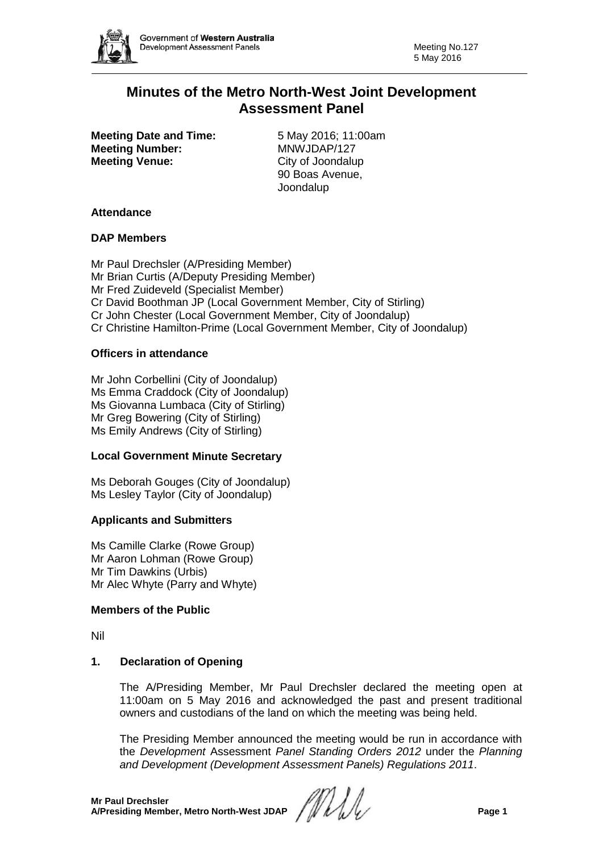

# **Minutes of the Metro North-West Joint Development Assessment Panel**

**Meeting Date and Time:** 5 May 2016; 11:00am **Meeting Number:** MNWJDAP/127 **Meeting Venue:** City of Joondalup

90 Boas Avenue, Joondalup

## **Attendance**

### **DAP Members**

Mr Paul Drechsler (A/Presiding Member) Mr Brian Curtis (A/Deputy Presiding Member) Mr Fred Zuideveld (Specialist Member) Cr David Boothman JP (Local Government Member, City of Stirling) Cr John Chester (Local Government Member, City of Joondalup) Cr Christine Hamilton-Prime (Local Government Member, City of Joondalup)

## **Officers in attendance**

Mr John Corbellini (City of Joondalup) Ms Emma Craddock (City of Joondalup) Ms Giovanna Lumbaca (City of Stirling) Mr Greg Bowering (City of Stirling) Ms Emily Andrews (City of Stirling)

## **Local Government Minute Secretary**

Ms Deborah Gouges (City of Joondalup) Ms Lesley Taylor (City of Joondalup)

### **Applicants and Submitters**

Ms Camille Clarke (Rowe Group) Mr Aaron Lohman (Rowe Group) Mr Tim Dawkins (Urbis) Mr Alec Whyte (Parry and Whyte)

### **Members of the Public**

Nil

## **1. Declaration of Opening**

The A/Presiding Member, Mr Paul Drechsler declared the meeting open at 11:00am on 5 May 2016 and acknowledged the past and present traditional owners and custodians of the land on which the meeting was being held.

The Presiding Member announced the meeting would be run in accordance with the *Development* Assessment *Panel Standing Orders 2012* under the *Planning and Development (Development Assessment Panels) Regulations 2011*.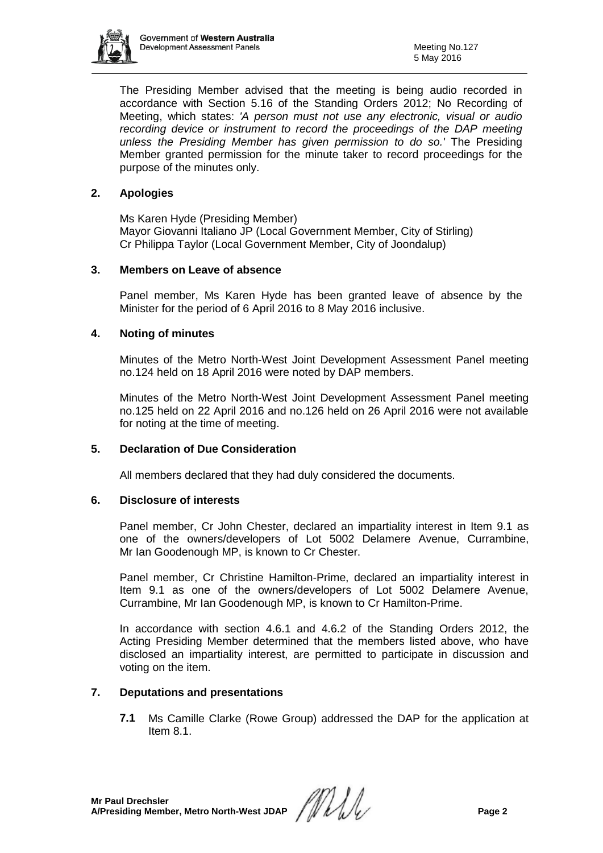

The Presiding Member advised that the meeting is being audio recorded in accordance with Section 5.16 of the Standing Orders 2012; No Recording of Meeting, which states: *'A person must not use any electronic, visual or audio recording device or instrument to record the proceedings of the DAP meeting unless the Presiding Member has given permission to do so.'* The Presiding Member granted permission for the minute taker to record proceedings for the purpose of the minutes only.

## **2. Apologies**

Ms Karen Hyde (Presiding Member) Mayor Giovanni Italiano JP (Local Government Member, City of Stirling) Cr Philippa Taylor (Local Government Member, City of Joondalup)

## **3. Members on Leave of absence**

Panel member, Ms Karen Hyde has been granted leave of absence by the Minister for the period of 6 April 2016 to 8 May 2016 inclusive.

## **4. Noting of minutes**

Minutes of the Metro North-West Joint Development Assessment Panel meeting no.124 held on 18 April 2016 were noted by DAP members.

Minutes of the Metro North-West Joint Development Assessment Panel meeting no.125 held on 22 April 2016 and no.126 held on 26 April 2016 were not available for noting at the time of meeting.

## **5. Declaration of Due Consideration**

All members declared that they had duly considered the documents.

### **6. Disclosure of interests**

Panel member, Cr John Chester, declared an impartiality interest in Item 9.1 as one of the owners/developers of Lot 5002 Delamere Avenue, Currambine, Mr Ian Goodenough MP, is known to Cr Chester.

Panel member, Cr Christine Hamilton-Prime, declared an impartiality interest in Item 9.1 as one of the owners/developers of Lot 5002 Delamere Avenue, Currambine, Mr Ian Goodenough MP, is known to Cr Hamilton-Prime.

In accordance with section 4.6.1 and 4.6.2 of the Standing Orders 2012, the Acting Presiding Member determined that the members listed above, who have disclosed an impartiality interest, are permitted to participate in discussion and voting on the item.

## **7. Deputations and presentations**

**7.1** Ms Camille Clarke (Rowe Group) addressed the DAP for the application at Item 8.1.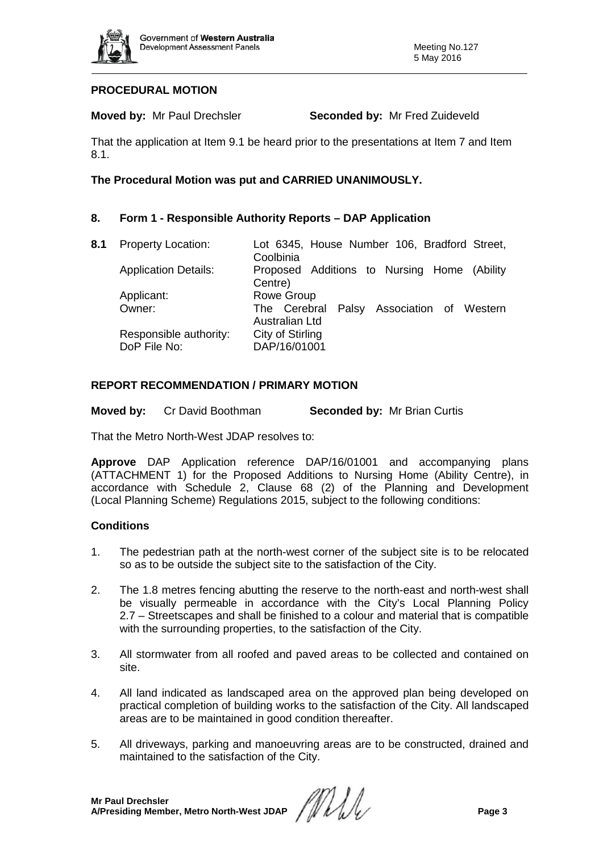

## **PROCEDURAL MOTION**

**Moved by:** Mr Paul Drechsler **Seconded by:** Mr Fred Zuideveld

That the application at Item 9.1 be heard prior to the presentations at Item 7 and Item 8.1.

## **The Procedural Motion was put and CARRIED UNANIMOUSLY.**

## **8. Form 1 - Responsible Authority Reports – DAP Application**

| 8.1 | <b>Property Location:</b>   | Lot 6345, House Number 106, Bradford Street,<br>Coolbinia   |
|-----|-----------------------------|-------------------------------------------------------------|
|     | <b>Application Details:</b> | Proposed Additions to Nursing Home (Ability<br>Centre)      |
|     | Applicant:                  | Rowe Group                                                  |
|     | Owner:                      | The Cerebral Palsy Association of Western<br>Australian Ltd |
|     | Responsible authority:      | City of Stirling                                            |
|     | DoP File No:                | DAP/16/01001                                                |

## **REPORT RECOMMENDATION / PRIMARY MOTION**

**Moved by:** Cr David Boothman **Seconded by:** Mr Brian Curtis

That the Metro North-West JDAP resolves to:

**Approve** DAP Application reference DAP/16/01001 and accompanying plans (ATTACHMENT 1) for the Proposed Additions to Nursing Home (Ability Centre), in accordance with Schedule 2, Clause 68 (2) of the Planning and Development (Local Planning Scheme) Regulations 2015, subject to the following conditions:

## **Conditions**

- 1. The pedestrian path at the north-west corner of the subject site is to be relocated so as to be outside the subject site to the satisfaction of the City.
- 2. The 1.8 metres fencing abutting the reserve to the north-east and north-west shall be visually permeable in accordance with the City's Local Planning Policy 2.7 – Streetscapes and shall be finished to a colour and material that is compatible with the surrounding properties, to the satisfaction of the City.
- 3. All stormwater from all roofed and paved areas to be collected and contained on site.
- 4. All land indicated as landscaped area on the approved plan being developed on practical completion of building works to the satisfaction of the City. All landscaped areas are to be maintained in good condition thereafter.
- 5. All driveways, parking and manoeuvring areas are to be constructed, drained and maintained to the satisfaction of the City.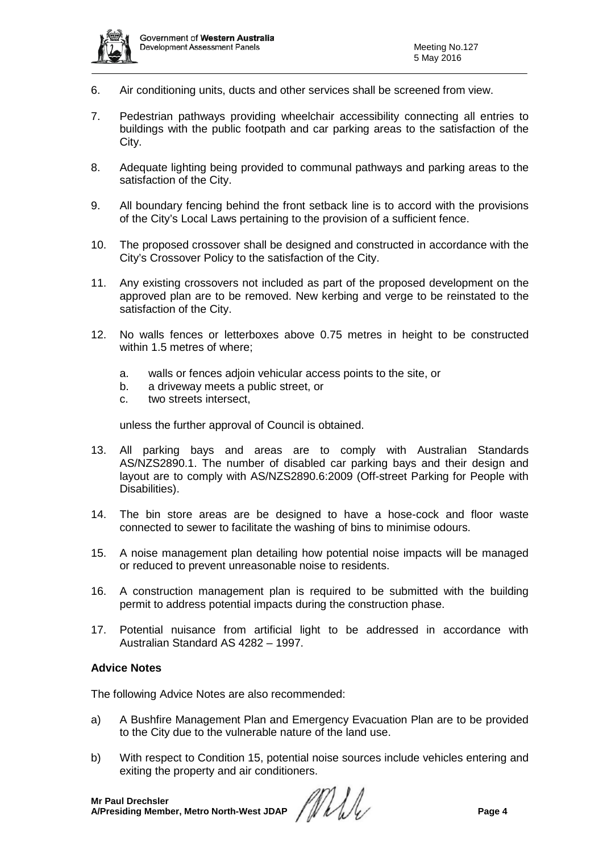

- 6. Air conditioning units, ducts and other services shall be screened from view.
- 7. Pedestrian pathways providing wheelchair accessibility connecting all entries to buildings with the public footpath and car parking areas to the satisfaction of the City.
- 8. Adequate lighting being provided to communal pathways and parking areas to the satisfaction of the City.
- 9. All boundary fencing behind the front setback line is to accord with the provisions of the City's Local Laws pertaining to the provision of a sufficient fence.
- 10. The proposed crossover shall be designed and constructed in accordance with the City's Crossover Policy to the satisfaction of the City.
- 11. Any existing crossovers not included as part of the proposed development on the approved plan are to be removed. New kerbing and verge to be reinstated to the satisfaction of the City.
- 12. No walls fences or letterboxes above 0.75 metres in height to be constructed within 1.5 metres of where;
	- a. walls or fences adjoin vehicular access points to the site, or
	- b. a driveway meets a public street, or
	- c. two streets intersect,

unless the further approval of Council is obtained.

- 13. All parking bays and areas are to comply with Australian Standards AS/NZS2890.1. The number of disabled car parking bays and their design and layout are to comply with AS/NZS2890.6:2009 (Off-street Parking for People with Disabilities).
- 14. The bin store areas are be designed to have a hose-cock and floor waste connected to sewer to facilitate the washing of bins to minimise odours.
- 15. A noise management plan detailing how potential noise impacts will be managed or reduced to prevent unreasonable noise to residents.
- 16. A construction management plan is required to be submitted with the building permit to address potential impacts during the construction phase.
- 17. Potential nuisance from artificial light to be addressed in accordance with Australian Standard AS 4282 – 1997.

### **Advice Notes**

The following Advice Notes are also recommended:

- a) A Bushfire Management Plan and Emergency Evacuation Plan are to be provided to the City due to the vulnerable nature of the land use.
- b) With respect to Condition 15, potential noise sources include vehicles entering and exiting the property and air conditioners.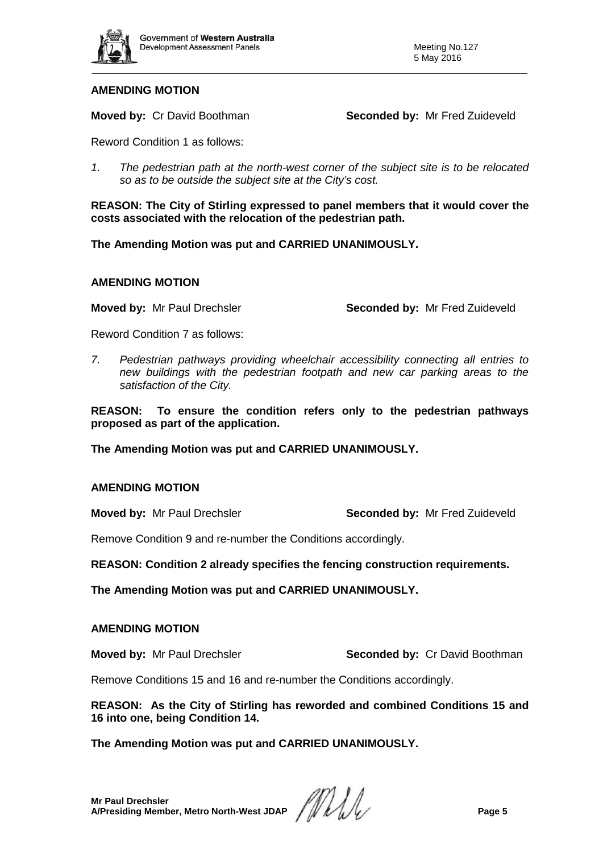

### **AMENDING MOTION**

**Moved by: Cr David Boothman <b>Seconded by:** Mr Fred Zuideveld

Reword Condition 1 as follows:

*1. The pedestrian path at the north-west corner of the subject site is to be relocated so as to be outside the subject site at the City's cost.*

**REASON: The City of Stirling expressed to panel members that it would cover the costs associated with the relocation of the pedestrian path.**

**The Amending Motion was put and CARRIED UNANIMOUSLY.**

### **AMENDING MOTION**

**Moved by:** Mr Paul Drechsler **Seconded by:** Mr Fred Zuideveld

Reword Condition 7 as follows:

*7. Pedestrian pathways providing wheelchair accessibility connecting all entries to new buildings with the pedestrian footpath and new car parking areas to the satisfaction of the City.*

**REASON: To ensure the condition refers only to the pedestrian pathways proposed as part of the application.** 

**The Amending Motion was put and CARRIED UNANIMOUSLY.**

### **AMENDING MOTION**

**Moved by:** Mr Paul Drechsler **Seconded by:** Mr Fred Zuideveld

Remove Condition 9 and re-number the Conditions accordingly.

**REASON: Condition 2 already specifies the fencing construction requirements.**

**The Amending Motion was put and CARRIED UNANIMOUSLY.**

### **AMENDING MOTION**

**Moved by:** Mr Paul Drechsler **Seconded by:** Cr David Boothman

Remove Conditions 15 and 16 and re-number the Conditions accordingly.

**REASON: As the City of Stirling has reworded and combined Conditions 15 and 16 into one, being Condition 14.** 

## **The Amending Motion was put and CARRIED UNANIMOUSLY.**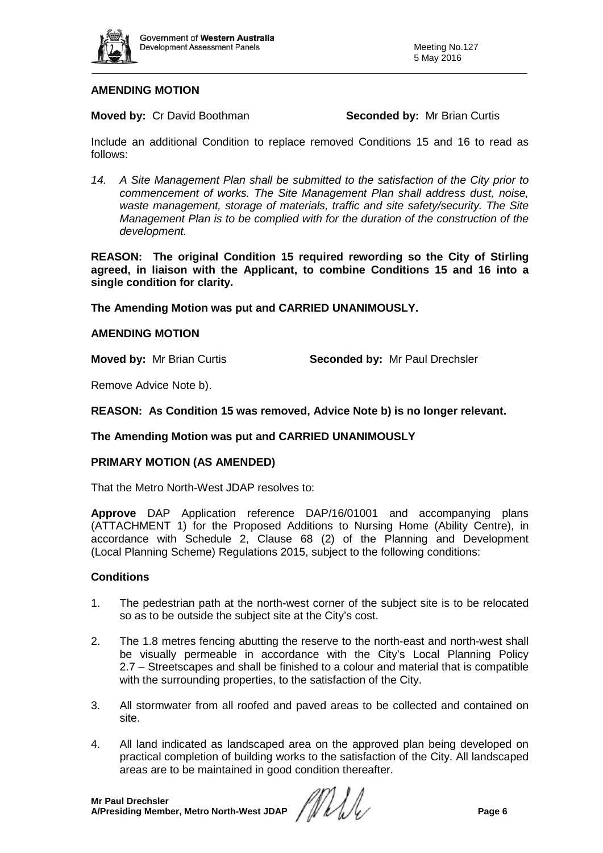

## **AMENDING MOTION**

### **Moved by:** Cr David Boothman **Seconded by:** Mr Brian Curtis

Include an additional Condition to replace removed Conditions 15 and 16 to read as follows:

*14. A Site Management Plan shall be submitted to the satisfaction of the City prior to commencement of works. The Site Management Plan shall address dust, noise, waste management, storage of materials, traffic and site safety/security. The Site Management Plan is to be complied with for the duration of the construction of the development.*

**REASON: The original Condition 15 required rewording so the City of Stirling agreed, in liaison with the Applicant, to combine Conditions 15 and 16 into a single condition for clarity.**

### **The Amending Motion was put and CARRIED UNANIMOUSLY.**

### **AMENDING MOTION**

**Moved by:** Mr Brian Curtis **Seconded by:** Mr Paul Drechsler

Remove Advice Note b).

**REASON: As Condition 15 was removed, Advice Note b) is no longer relevant.** 

### **The Amending Motion was put and CARRIED UNANIMOUSLY**

### **PRIMARY MOTION (AS AMENDED)**

That the Metro North-West JDAP resolves to:

**Approve** DAP Application reference DAP/16/01001 and accompanying plans (ATTACHMENT 1) for the Proposed Additions to Nursing Home (Ability Centre), in accordance with Schedule 2, Clause 68 (2) of the Planning and Development (Local Planning Scheme) Regulations 2015, subject to the following conditions:

### **Conditions**

- 1. The pedestrian path at the north-west corner of the subject site is to be relocated so as to be outside the subject site at the City's cost.
- 2. The 1.8 metres fencing abutting the reserve to the north-east and north-west shall be visually permeable in accordance with the City's Local Planning Policy 2.7 – Streetscapes and shall be finished to a colour and material that is compatible with the surrounding properties, to the satisfaction of the City.
- 3. All stormwater from all roofed and paved areas to be collected and contained on site.
- 4. All land indicated as landscaped area on the approved plan being developed on practical completion of building works to the satisfaction of the City. All landscaped areas are to be maintained in good condition thereafter.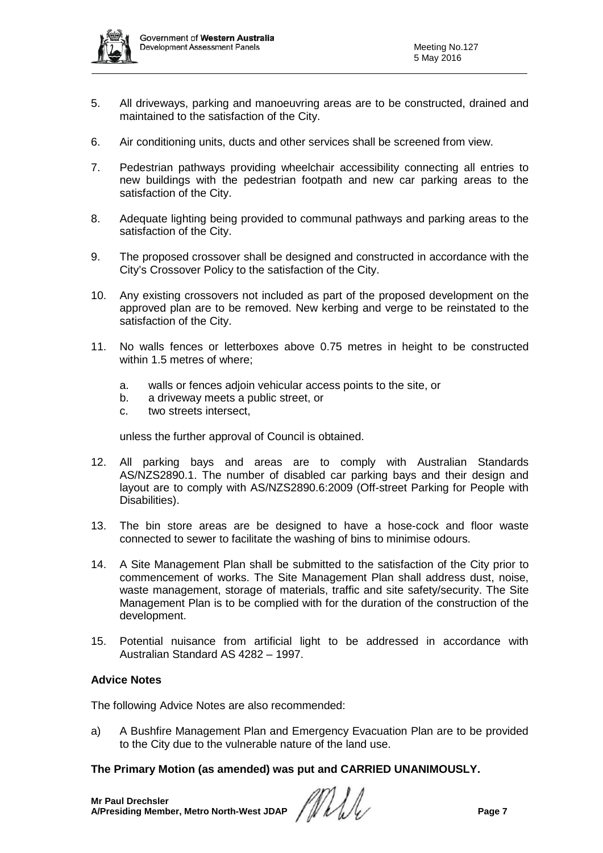

- 5. All driveways, parking and manoeuvring areas are to be constructed, drained and maintained to the satisfaction of the City.
- 6. Air conditioning units, ducts and other services shall be screened from view.
- 7. Pedestrian pathways providing wheelchair accessibility connecting all entries to new buildings with the pedestrian footpath and new car parking areas to the satisfaction of the City.
- 8. Adequate lighting being provided to communal pathways and parking areas to the satisfaction of the City.
- 9. The proposed crossover shall be designed and constructed in accordance with the City's Crossover Policy to the satisfaction of the City.
- 10. Any existing crossovers not included as part of the proposed development on the approved plan are to be removed. New kerbing and verge to be reinstated to the satisfaction of the City.
- 11. No walls fences or letterboxes above 0.75 metres in height to be constructed within 1.5 metres of where;
	- a. walls or fences adjoin vehicular access points to the site, or
	- b. a driveway meets a public street, or
	- c. two streets intersect,

unless the further approval of Council is obtained.

- 12. All parking bays and areas are to comply with Australian Standards AS/NZS2890.1. The number of disabled car parking bays and their design and layout are to comply with AS/NZS2890.6:2009 (Off-street Parking for People with Disabilities).
- 13. The bin store areas are be designed to have a hose-cock and floor waste connected to sewer to facilitate the washing of bins to minimise odours.
- 14. A Site Management Plan shall be submitted to the satisfaction of the City prior to commencement of works. The Site Management Plan shall address dust, noise, waste management, storage of materials, traffic and site safety/security. The Site Management Plan is to be complied with for the duration of the construction of the development.
- 15. Potential nuisance from artificial light to be addressed in accordance with Australian Standard AS 4282 – 1997.

### **Advice Notes**

The following Advice Notes are also recommended:

a) A Bushfire Management Plan and Emergency Evacuation Plan are to be provided to the City due to the vulnerable nature of the land use.

### **The Primary Motion (as amended) was put and CARRIED UNANIMOUSLY.**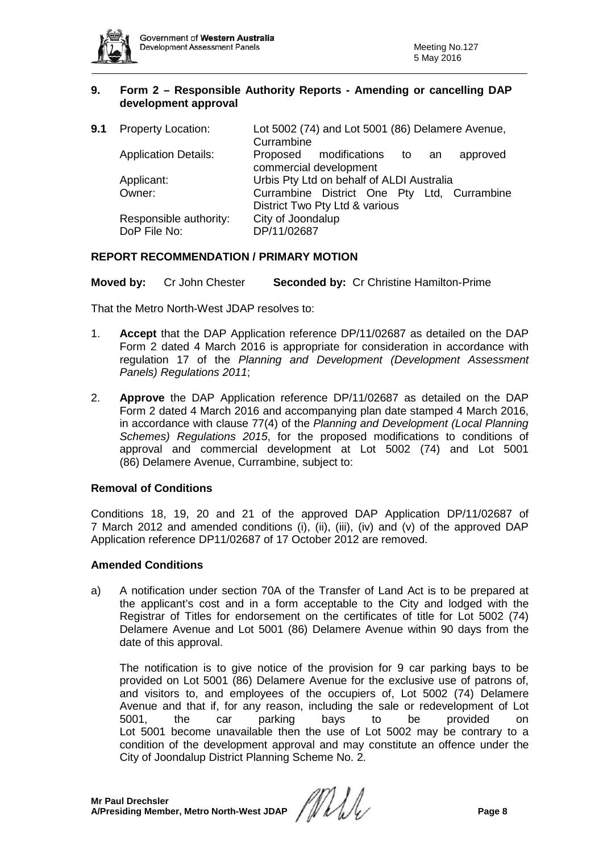

### **9. Form 2 – Responsible Authority Reports - Amending or cancelling DAP development approval**

| 9.1 | <b>Property Location:</b>              | Lot 5002 (74) and Lot 5001 (86) Delamere Avenue,<br>Currambine                |
|-----|----------------------------------------|-------------------------------------------------------------------------------|
|     | <b>Application Details:</b>            | Proposed modifications to an<br>approved<br>commercial development            |
|     | Applicant:                             | Urbis Pty Ltd on behalf of ALDI Australia                                     |
|     | Owner:                                 | Currambine District One Pty Ltd, Currambine<br>District Two Pty Ltd & various |
|     | Responsible authority:<br>DoP File No: | City of Joondalup<br>DP/11/02687                                              |

## **REPORT RECOMMENDATION / PRIMARY MOTION**

**Moved by:** Cr John Chester **Seconded by:** Cr Christine Hamilton-Prime

That the Metro North-West JDAP resolves to:

- 1. **Accept** that the DAP Application reference DP/11/02687 as detailed on the DAP Form 2 dated 4 March 2016 is appropriate for consideration in accordance with regulation 17 of the *Planning and Development (Development Assessment Panels) Regulations 2011*;
- 2. **Approve** the DAP Application reference DP/11/02687 as detailed on the DAP Form 2 dated 4 March 2016 and accompanying plan date stamped 4 March 2016, in accordance with clause 77(4) of the *Planning and Development (Local Planning Schemes) Regulations 2015*, for the proposed modifications to conditions of approval and commercial development at Lot 5002 (74) and Lot 5001 (86) Delamere Avenue, Currambine, subject to:

## **Removal of Conditions**

Conditions 18, 19, 20 and 21 of the approved DAP Application DP/11/02687 of 7 March 2012 and amended conditions (i), (ii), (iii), (iv) and (v) of the approved DAP Application reference DP11/02687 of 17 October 2012 are removed.

### **Amended Conditions**

a) A notification under section 70A of the Transfer of Land Act is to be prepared at the applicant's cost and in a form acceptable to the City and lodged with the Registrar of Titles for endorsement on the certificates of title for Lot 5002 (74) Delamere Avenue and Lot 5001 (86) Delamere Avenue within 90 days from the date of this approval.

The notification is to give notice of the provision for 9 car parking bays to be provided on Lot 5001 (86) Delamere Avenue for the exclusive use of patrons of, and visitors to, and employees of the occupiers of, Lot 5002 (74) Delamere Avenue and that if, for any reason, including the sale or redevelopment of Lot 5001, the car parking bays to be provided on Lot 5001 become unavailable then the use of Lot 5002 may be contrary to a condition of the development approval and may constitute an offence under the City of Joondalup District Planning Scheme No. 2.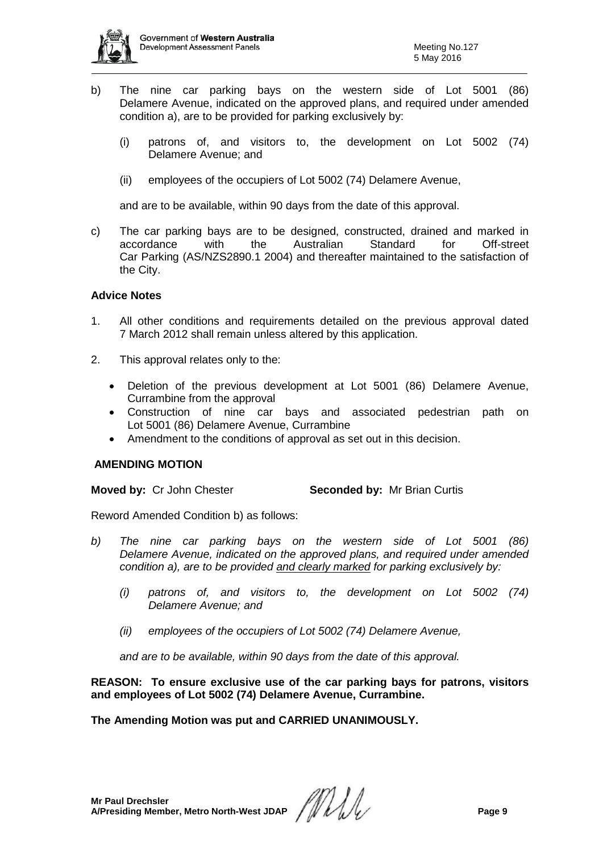

- b) The nine car parking bays on the western side of Lot 5001 (86) Delamere Avenue, indicated on the approved plans, and required under amended condition a), are to be provided for parking exclusively by:
	- (i) patrons of, and visitors to, the development on Lot 5002 (74) Delamere Avenue; and
	- (ii) employees of the occupiers of Lot 5002 (74) Delamere Avenue,

and are to be available, within 90 days from the date of this approval.

c) The car parking bays are to be designed, constructed, drained and marked in accordance with the Australian Standard for Off-street Car Parking (AS/NZS2890.1 2004) and thereafter maintained to the satisfaction of the City.

### **Advice Notes**

- 1. All other conditions and requirements detailed on the previous approval dated 7 March 2012 shall remain unless altered by this application.
- 2. This approval relates only to the:
	- Deletion of the previous development at Lot 5001 (86) Delamere Avenue, Currambine from the approval
	- Construction of nine car bays and associated pedestrian path on Lot 5001 (86) Delamere Avenue, Currambine
	- Amendment to the conditions of approval as set out in this decision.

### **AMENDING MOTION**

**Moved by: Cr John Chester <b>Seconded by:** Mr Brian Curtis

Reword Amended Condition b) as follows:

- *b) The nine car parking bays on the western side of Lot 5001 (86) Delamere Avenue, indicated on the approved plans, and required under amended condition a), are to be provided and clearly marked for parking exclusively by:*
	- *(i) patrons of, and visitors to, the development on Lot 5002 (74) Delamere Avenue; and*
	- *(ii) employees of the occupiers of Lot 5002 (74) Delamere Avenue,*

*and are to be available, within 90 days from the date of this approval.*

**REASON: To ensure exclusive use of the car parking bays for patrons, visitors and employees of Lot 5002 (74) Delamere Avenue, Currambine.**

**The Amending Motion was put and CARRIED UNANIMOUSLY.**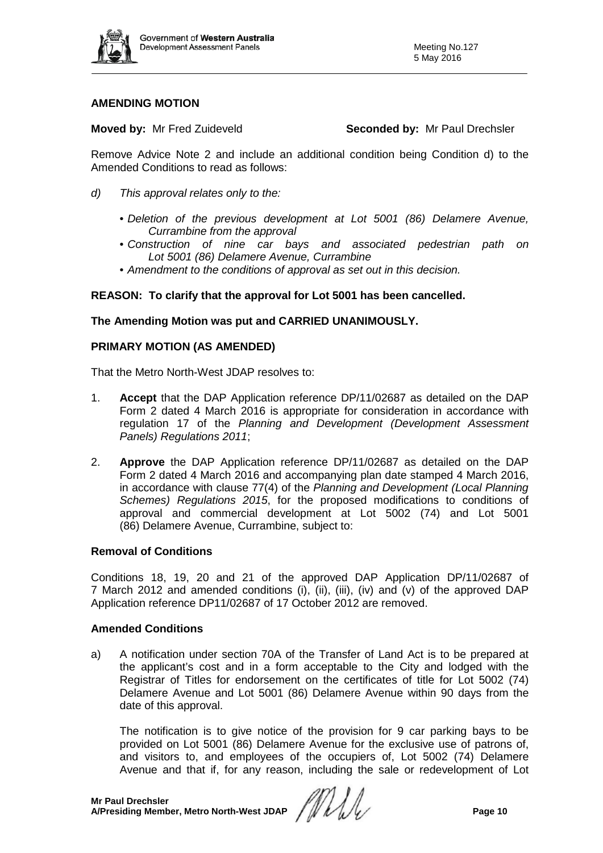

### **AMENDING MOTION**

**Moved by:** Mr Fred Zuideveld **Seconded by:** Mr Paul Drechsler

Remove Advice Note 2 and include an additional condition being Condition d) to the Amended Conditions to read as follows:

- *d) This approval relates only to the:*
	- *Deletion of the previous development at Lot 5001 (86) Delamere Avenue, Currambine from the approval*
	- *Construction of nine car bays and associated pedestrian path on Lot 5001 (86) Delamere Avenue, Currambine*
	- *Amendment to the conditions of approval as set out in this decision.*

### **REASON: To clarify that the approval for Lot 5001 has been cancelled.**

### **The Amending Motion was put and CARRIED UNANIMOUSLY.**

### **PRIMARY MOTION (AS AMENDED)**

That the Metro North-West JDAP resolves to:

- 1. **Accept** that the DAP Application reference DP/11/02687 as detailed on the DAP Form 2 dated 4 March 2016 is appropriate for consideration in accordance with regulation 17 of the *Planning and Development (Development Assessment Panels) Regulations 2011*;
- 2. **Approve** the DAP Application reference DP/11/02687 as detailed on the DAP Form 2 dated 4 March 2016 and accompanying plan date stamped 4 March 2016, in accordance with clause 77(4) of the *Planning and Development (Local Planning Schemes) Regulations 2015*, for the proposed modifications to conditions of approval and commercial development at Lot 5002 (74) and Lot 5001 (86) Delamere Avenue, Currambine, subject to:

### **Removal of Conditions**

Conditions 18, 19, 20 and 21 of the approved DAP Application DP/11/02687 of 7 March 2012 and amended conditions (i), (ii), (iii), (iv) and (v) of the approved DAP Application reference DP11/02687 of 17 October 2012 are removed.

### **Amended Conditions**

a) A notification under section 70A of the Transfer of Land Act is to be prepared at the applicant's cost and in a form acceptable to the City and lodged with the Registrar of Titles for endorsement on the certificates of title for Lot 5002 (74) Delamere Avenue and Lot 5001 (86) Delamere Avenue within 90 days from the date of this approval.

The notification is to give notice of the provision for 9 car parking bays to be provided on Lot 5001 (86) Delamere Avenue for the exclusive use of patrons of, and visitors to, and employees of the occupiers of, Lot 5002 (74) Delamere Avenue and that if, for any reason, including the sale or redevelopment of Lot